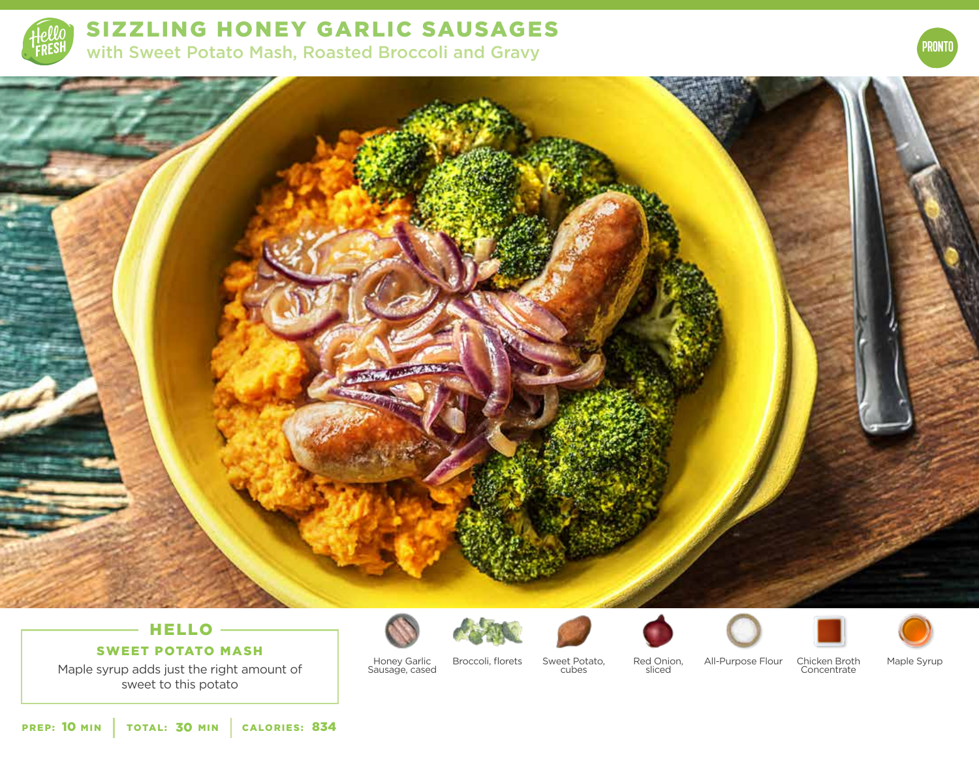

SIZZLING HONEY GARLIC SAUSAGES with Sweet Potato Mash, Roasted Broccoli and Gravy





# HELLO -

### SWEET POTATO MASH

Maple syrup adds just the right amount of sweet to this potato



Honey Garlic Sausage, cased

Broccoli, florets Sweet Potato, cubes



Red Onion, sliced







Maple Syrup